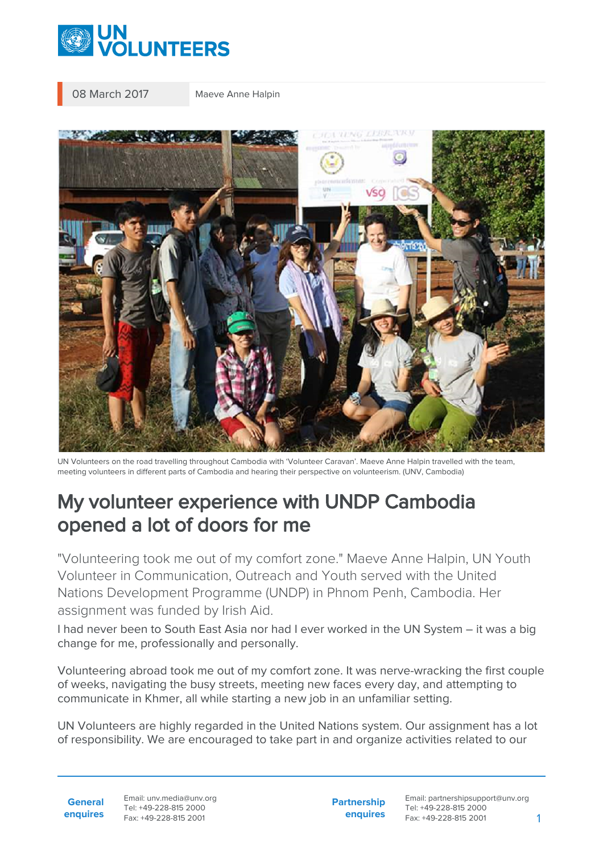

08 March 2017 Maeve Anne Halpin



UN Volunteers on the road travelling throughout Cambodia with 'Volunteer Caravan'. Maeve Anne Halpin travelled with the team, meeting volunteers in different parts of Cambodia and hearing their perspective on volunteerism. (UNV, Cambodia)

## My volunteer experience with UNDP Cambodia opened a lot of doors for me

"Volunteering took me out of my comfort zone." Maeve Anne Halpin, UN Youth Volunteer in Communication, Outreach and Youth served with the United Nations Development Programme (UNDP) in Phnom Penh, Cambodia. Her assignment was funded by Irish Aid.

I had never been to South East Asia nor had I ever worked in the UN System – it was a big change for me, professionally and personally.

Volunteering abroad took me out of my comfort zone. It was nerve-wracking the first couple of weeks, navigating the busy streets, meeting new faces every day, and attempting to communicate in Khmer, all while starting a new job in an unfamiliar setting.

UN Volunteers are highly regarded in the United Nations system. Our assignment has a lot of responsibility. We are encouraged to take part in and organize activities related to our

**General enquires** Email: unv.media@unv.org Tel: +49-228-815 2000 Fax: +49-228-815 2001

**Partnership enquires**

Email: partnershipsupport@unv.org Tel: +49-228-815 2000 Fax: +49-228-815 2001 1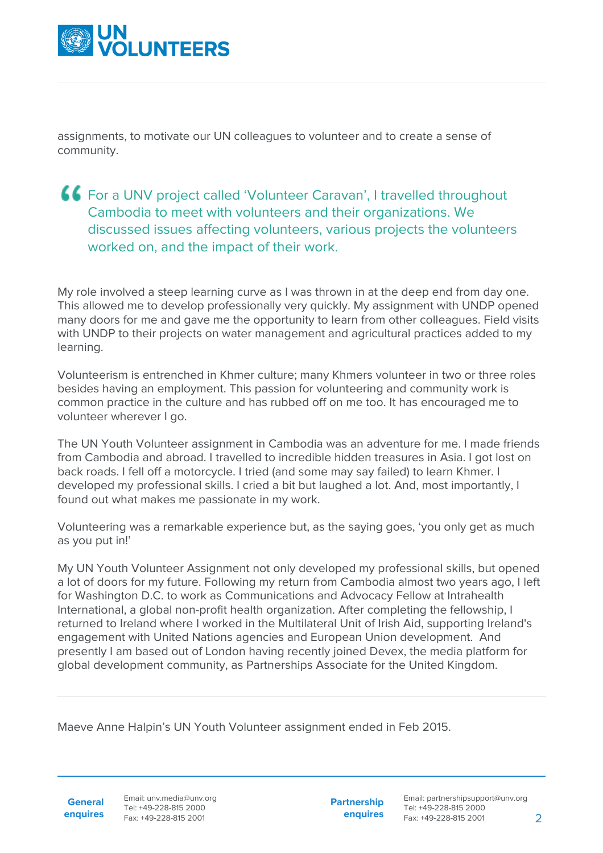

assignments, to motivate our UN colleagues to volunteer and to create a sense of community.

## For a UNV project called 'Volunteer Caravan', I travelled throughout Cambodia to meet with volunteers and their organizations. We discussed issues affecting volunteers, various projects the volunteers worked on, and the impact of their work.

My role involved a steep learning curve as I was thrown in at the deep end from day one. This allowed me to develop professionally very quickly. My assignment with UNDP opened many doors for me and gave me the opportunity to learn from other colleagues. Field visits with UNDP to their projects on water management and agricultural practices added to my learning.

Volunteerism is entrenched in Khmer culture; many Khmers volunteer in two or three roles besides having an employment. This passion for volunteering and community work is common practice in the culture and has rubbed off on me too. It has encouraged me to volunteer wherever I go.

The UN Youth Volunteer assignment in Cambodia was an adventure for me. I made friends from Cambodia and abroad. I travelled to incredible hidden treasures in Asia. I got lost on back roads. I fell off a motorcycle. I tried (and some may say failed) to learn Khmer. I developed my professional skills. I cried a bit but laughed a lot. And, most importantly, I found out what makes me passionate in my work.

Volunteering was a remarkable experience but, as the saying goes, 'you only get as much as you put in!'

My UN Youth Volunteer Assignment not only developed my professional skills, but opened a lot of doors for my future. Following my return from Cambodia almost two years ago, I left for Washington D.C. to work as Communications and Advocacy Fellow at Intrahealth International, a global non-profit health organization. After completing the fellowship, I returned to Ireland where I worked in the Multilateral Unit of Irish Aid, supporting Ireland's engagement with United Nations agencies and European Union development. And presently I am based out of London having recently joined Devex, the media platform for global development community, as Partnerships Associate for the United Kingdom.

Maeve Anne Halpin's UN Youth Volunteer assignment ended in Feb 2015.

**General**

**enquires** Tel: +49-228-815 2000 Fax: +49-228-815 2001 Email: unv.media@unv.org<br>Tel: +49-228-815 2000

**Partnership enquires**

Email: partnershipsupport@unv.org Tel: +49-228-815 2000 Fax: +49-228-815 2001 2